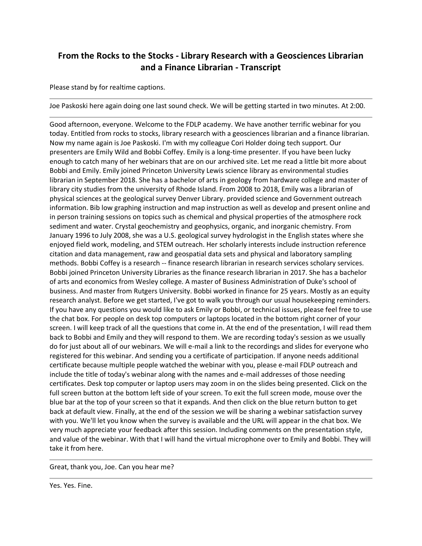## **From the Rocks to the Stocks - Library Research with a Geosciences Librarian and a Finance Librarian - Transcript**

Please stand by for realtime captions.

Joe Paskoski here again doing one last sound check. We will be getting started in two minutes. At 2:00.

Good afternoon, everyone. Welcome to the FDLP academy. We have another terrific webinar for you today. Entitled from rocks to stocks, library research with a geosciences librarian and a finance librarian. Now my name again is Joe Paskoski. I'm with my colleague Cori Holder doing tech support. Our presenters are Emily Wild and Bobbi Coffey. Emily is a long-time presenter. If you have been lucky enough to catch many of her webinars that are on our archived site. Let me read a little bit more about Bobbi and Emily. Emily joined Princeton University Lewis science library as environmental studies librarian in September 2018. She has a bachelor of arts in geology from hardware college and master of library city studies from the university of Rhode Island. From 2008 to 2018, Emily was a librarian of physical sciences at the geological survey Denver Library. provided science and Government outreach information. Bib low graphing instruction and map instruction as well as develop and present online and in person training sessions on topics such as chemical and physical properties of the atmosphere rock sediment and water. Crystal geochemistry and geophysics, organic, and inorganic chemistry. From January 1996 to July 2008, she was a U.S. geological survey hydrologist in the English states where she enjoyed field work, modeling, and STEM outreach. Her scholarly interests include instruction reference citation and data management, raw and geospatial data sets and physical and laboratory sampling methods. Bobbi Coffey is a research -- finance research librarian in research services scholary services. Bobbi joined Princeton University Libraries as the finance research librarian in 2017. She has a bachelor of arts and economics from Wesley college. A master of Business Administration of Duke's school of business. And master from Rutgers University. Bobbi worked in finance for 25 years. Mostly as an equity research analyst. Before we get started, I've got to walk you through our usual housekeeping reminders. If you have any questions you would like to ask Emily or Bobbi, or technical issues, please feel free to use the chat box. For people on desk top computers or laptops located in the bottom right corner of your screen. I will keep track of all the questions that come in. At the end of the presentation, I will read them back to Bobbi and Emily and they will respond to them. We are recording today's session as we usually do for just about all of our webinars. We will e-mail a link to the recordings and slides for everyone who registered for this webinar. And sending you a certificate of participation. If anyone needs additional certificate because multiple people watched the webinar with you, please e-mail FDLP outreach and include the title of today's webinar along with the names and e-mail addresses of those needing certificates. Desk top computer or laptop users may zoom in on the slides being presented. Click on the full screen button at the bottom left side of your screen. To exit the full screen mode, mouse over the blue bar at the top of your screen so that it expands. And then click on the blue return button to get back at default view. Finally, at the end of the session we will be sharing a webinar satisfaction survey with you. We'll let you know when the survey is available and the URL will appear in the chat box. We very much appreciate your feedback after this session. Including comments on the presentation style, and value of the webinar. With that I will hand the virtual microphone over to Emily and Bobbi. They will take it from here.

Great, thank you, Joe. Can you hear me?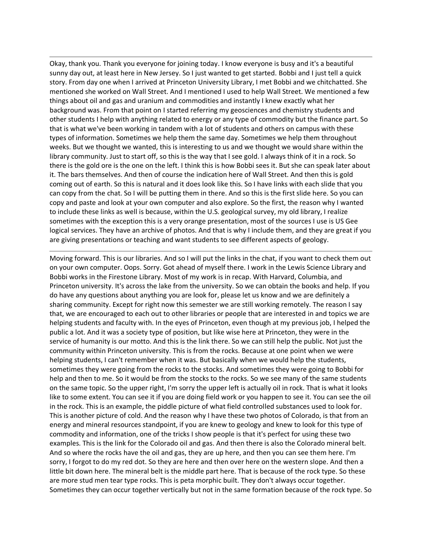Okay, thank you. Thank you everyone for joining today. I know everyone is busy and it's a beautiful sunny day out, at least here in New Jersey. So I just wanted to get started. Bobbi and I just tell a quick story. From day one when I arrived at Princeton University Library, I met Bobbi and we chitchatted. She mentioned she worked on Wall Street. And I mentioned I used to help Wall Street. We mentioned a few things about oil and gas and uranium and commodities and instantly I knew exactly what her background was. From that point on I started referring my geosciences and chemistry students and other students I help with anything related to energy or any type of commodity but the finance part. So that is what we've been working in tandem with a lot of students and others on campus with these types of information. Sometimes we help them the same day. Sometimes we help them throughout weeks. But we thought we wanted, this is interesting to us and we thought we would share within the library community. Just to start off, so this is the way that I see gold. I always think of it in a rock. So there is the gold ore is the one on the left. I think this is how Bobbi sees it. But she can speak later about it. The bars themselves. And then of course the indication here of Wall Street. And then this is gold coming out of earth. So this is natural and it does look like this. So I have links with each slide that you can copy from the chat. So I will be putting them in there. And so this is the first slide here. So you can copy and paste and look at your own computer and also explore. So the first, the reason why I wanted to include these links as well is because, within the U.S. geological survey, my old library, I realize sometimes with the exception this is a very orange presentation, most of the sources I use is US Gee logical services. They have an archive of photos. And that is why I include them, and they are great if you are giving presentations or teaching and want students to see different aspects of geology.

Moving forward. This is our libraries. And so I will put the links in the chat, if you want to check them out on your own computer. Oops. Sorry. Got ahead of myself there. I work in the Lewis Science Library and Bobbi works in the Firestone Library. Most of my work is in recap. With Harvard, Columbia, and Princeton university. It's across the lake from the university. So we can obtain the books and help. If you do have any questions about anything you are look for, please let us know and we are definitely a sharing community. Except for right now this semester we are still working remotely. The reason I say that, we are encouraged to each out to other libraries or people that are interested in and topics we are helping students and faculty with. In the eyes of Princeton, even though at my previous job, I helped the public a lot. And it was a society type of position, but like wise here at Princeton, they were in the service of humanity is our motto. And this is the link there. So we can still help the public. Not just the community within Princeton university. This is from the rocks. Because at one point when we were helping students, I can't remember when it was. But basically when we would help the students, sometimes they were going from the rocks to the stocks. And sometimes they were going to Bobbi for help and then to me. So it would be from the stocks to the rocks. So we see many of the same students on the same topic. So the upper right, I'm sorry the upper left is actually oil in rock. That is what it looks like to some extent. You can see it if you are doing field work or you happen to see it. You can see the oil in the rock. This is an example, the piddle picture of what field controlled substances used to look for. This is another picture of cold. And the reason why I have these two photos of Colorado, is that from an energy and mineral resources standpoint, if you are knew to geology and knew to look for this type of commodity and information, one of the tricks I show people is that it's perfect for using these two examples. This is the link for the Colorado oil and gas. And then there is also the Colorado mineral belt. And so where the rocks have the oil and gas, they are up here, and then you can see them here. I'm sorry, I forgot to do my red dot. So they are here and then over here on the western slope. And then a little bit down here. The mineral belt is the middle part here. That is because of the rock type. So these are more stud men tear type rocks. This is peta morphic built. They don't always occur together. Sometimes they can occur together vertically but not in the same formation because of the rock type. So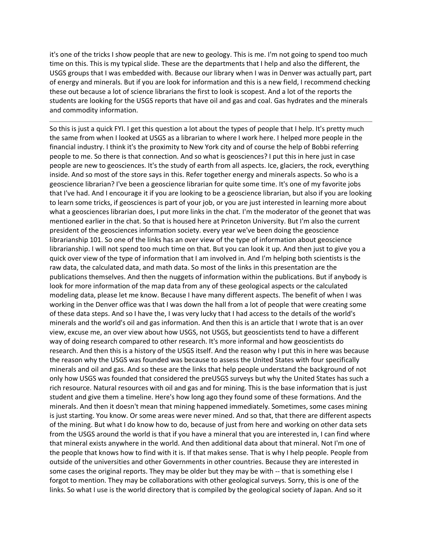it's one of the tricks I show people that are new to geology. This is me. I'm not going to spend too much time on this. This is my typical slide. These are the departments that I help and also the different, the USGS groups that I was embedded with. Because our library when I was in Denver was actually part, part of energy and minerals. But if you are look for information and this is a new field, I recommend checking these out because a lot of science librarians the first to look is scopest. And a lot of the reports the students are looking for the USGS reports that have oil and gas and coal. Gas hydrates and the minerals and commodity information.

So this is just a quick FYI. I get this question a lot about the types of people that I help. It's pretty much the same from when I looked at USGS as a librarian to where I work here. I helped more people in the financial industry. I think it's the proximity to New York city and of course the help of Bobbi referring people to me. So there is that connection. And so what is geosciences? I put this in here just in case people are new to geosciences. It's the study of earth from all aspects. Ice, glaciers, the rock, everything inside. And so most of the store says in this. Refer together energy and minerals aspects. So who is a geoscience librarian? I've been a geoscience librarian for quite some time. It's one of my favorite jobs that I've had. And I encourage it if you are looking to be a geoscience librarian, but also if you are looking to learn some tricks, if geosciences is part of your job, or you are just interested in learning more about what a geosciences librarian does, I put more links in the chat. I'm the moderator of the geonet that was mentioned earlier in the chat. So that is housed here at Princeton University. But I'm also the current president of the geosciences information society. every year we've been doing the geoscience librarianship 101. So one of the links has an over view of the type of information about geoscience librarianship. I will not spend too much time on that. But you can look it up. And then just to give you a quick over view of the type of information that I am involved in. And I'm helping both scientists is the raw data, the calculated data, and math data. So most of the links in this presentation are the publications themselves. And then the nuggets of information within the publications. But if anybody is look for more information of the map data from any of these geological aspects or the calculated modeling data, please let me know. Because I have many different aspects. The benefit of when I was working in the Denver office was that I was down the hall from a lot of people that were creating some of these data steps. And so I have the, I was very lucky that I had access to the details of the world's minerals and the world's oil and gas information. And then this is an article that I wrote that is an over view, excuse me, an over view about how USGS, not USGS, but geoscientists tend to have a different way of doing research compared to other research. It's more informal and how geoscientists do research. And then this is a history of the USGS itself. And the reason why I put this in here was because the reason why the USGS was founded was because to assess the United States with four specifically minerals and oil and gas. And so these are the links that help people understand the background of not only how USGS was founded that considered the preUSGS surveys but why the United States has such a rich resource. Natural resources with oil and gas and for mining. This is the base information that is just student and give them a timeline. Here's how long ago they found some of these formations. And the minerals. And then it doesn't mean that mining happened immediately. Sometimes, some cases mining is just starting. You know. Or some areas were never mined. And so that, that there are different aspects of the mining. But what I do know how to do, because of just from here and working on other data sets from the USGS around the world is that if you have a mineral that you are interested in, I can find where that mineral exists anywhere in the world. And then additional data about that mineral. Not I'm one of the people that knows how to find with it is. If that makes sense. That is why I help people. People from outside of the universities and other Governments in other countries. Because they are interested in some cases the original reports. They may be older but they may be with -- that is something else I forgot to mention. They may be collaborations with other geological surveys. Sorry, this is one of the links. So what I use is the world directory that is compiled by the geological society of Japan. And so it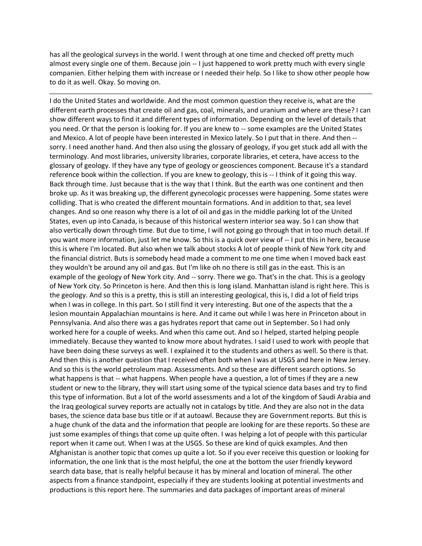has all the geological surveys in the world. I went through at one time and checked off pretty much almost every single one of them. Because join -- I just happened to work pretty much with every single companien. Either helping them with increase or I needed their help. So I like to show other people how to do it as well. Okay. So moving on.

I do the United States and worldwide. And the most common question they receive is, what are the different earth processes that create oil and gas, coal, minerals, and uranium and where are these? I can show different ways to find it and different types of information. Depending on the level of details that you need. Or that the person is looking for. If you are knew to -- some examples are the United States and Mexico. A lot of people have been interested in Mexico lately. So I put that in there. And then - sorry. I need another hand. And then also using the glossary of geology, if you get stuck add all with the terminology. And most libraries, university libraries, corporate libraries, et cetera, have access to the glossary of geology. If they have any type of geology or geosciences component. Because it's a standard reference book within the collection. If you are knew to geology, this is -- I think of it going this way. Back through time. Just because that is the way that I think. But the earth was one continent and then broke up. As it was breaking up, the different gynecologic processes were happening. Some states were colliding. That is who created the different mountain formations. And in addition to that, sea level changes. And so one reason why there is a lot of oil and gas in the middle parking lot of the United States, even up into Canada, is because of this historical western interior sea way. So I can show that also vertically down through time. But due to time, I will not going go through that in too much detail. If you want more information, just let me know. So this is a quick over view of -- I put this in here, because this is where I'm located. But also when we talk about stocks A lot of people think of New York city and the financial district. Buts is somebody head made a comment to me one time when I moved back east they wouldn't be around any oil and gas. But I'm like oh no there is still gas in the east. This is an example of the geology of New York city. And -- sorry. There we go. That's in the chat. This is a geology of New York city. So Princeton is here. And then this is long island. Manhattan island is right here. This is the geology. And so this is a pretty, this is still an interesting geological, this is, I did a lot of field trips when I was in college. In this part. So I still find it very interesting. But one of the aspects that the a lesion mountain Appalachian mountains is here. And it came out while I was here in Princeton about in Pennsylvania. And also there was a gas hydrates report that came out in September. So I had only worked here for a couple of weeks. And when this came out. And so I helped, started helping people immediately. Because they wanted to know more about hydrates. I said I used to work with people that have been doing these surveys as well. I explained it to the students and others as well. So there is that. And then this is another question that I received often both when I was at USGS and here in New Jersey. And so this is the world petroleum map. Assessments. And so these are different search options. So what happens is that -- what happens. When people have a question, a lot of times if they are a new student or new to the library, they will start using some of the typical science data bases and try to find this type of information. But a lot of the world assessments and a lot of the kingdom of Saudi Arabia and the Iraq geological survey reports are actually not in catalogs by title. And they are also not in the data bases, the science data base bus title or if at autoawl. Because they are Government reports. But this is a huge chunk of the data and the information that people are looking for are these reports. So these are just some examples of things that come up quite often. I was helping a lot of people with this particular report when it came out. When I was at the USGS. So these are kind of quick examples. And then Afghanistan is another topic that comes up quite a lot. So if you ever receive this question or looking for information, the one link that is the most helpful, the one at the bottom the user friendly keyword search data base, that is really helpful because it has by mineral and location of mineral. The other aspects from a finance standpoint, especially if they are students looking at potential investments and productions is this report here. The summaries and data packages of important areas of mineral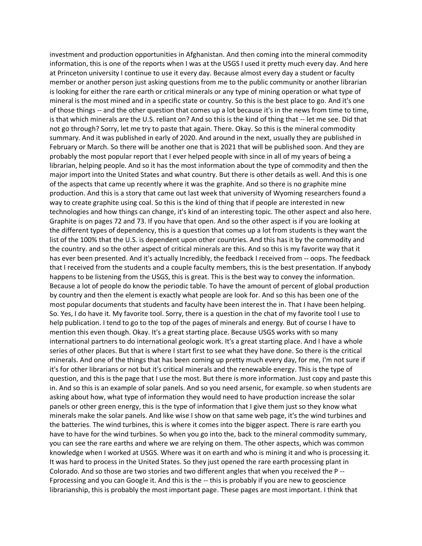investment and production opportunities in Afghanistan. And then coming into the mineral commodity information, this is one of the reports when I was at the USGS I used it pretty much every day. And here at Princeton university I continue to use it every day. Because almost every day a student or faculty member or another person just asking questions from me to the public community or another librarian is looking for either the rare earth or critical minerals or any type of mining operation or what type of mineral is the most mined and in a specific state or country. So this is the best place to go. And it's one of those things -- and the other question that comes up a lot because it's in the news from time to time, is that which minerals are the U.S. reliant on? And so this is the kind of thing that -- let me see. Did that not go through? Sorry, let me try to paste that again. There. Okay. So this is the mineral commodity summary. And it was published in early of 2020. And around in the next, usually they are published in February or March. So there will be another one that is 2021 that will be published soon. And they are probably the most popular report that I ever helped people with since in all of my years of being a librarian, helping people. And so it has the most information about the type of commodity and then the major import into the United States and what country. But there is other details as well. And this is one of the aspects that came up recently where it was the graphite. And so there is no graphite mine production. And this is a story that came out last week that university of Wyoming researchers found a way to create graphite using coal. So this is the kind of thing that if people are interested in new technologies and how things can change, it's kind of an interesting topic. The other aspect and also here. Graphite is on pages 72 and 73. If you have that open. And so the other aspect is if you are looking at the different types of dependency, this is a question that comes up a lot from students is they want the list of the 100% that the U.S. is dependent upon other countries. And this has it by the commodity and the country. and so the other aspect of critical minerals are this. And so this is my favorite way that it has ever been presented. And it's actually Incredibly, the feedback I received from -- oops. The feedback that I received from the students and a couple faculty members, this is the best presentation. If anybody happens to be listening from the USGS, this is great. This is the best way to convey the information. Because a lot of people do know the periodic table. To have the amount of percent of global production by country and then the element is exactly what people are look for. And so this has been one of the most popular documents that students and faculty have been interest the in. That I have been helping. So. Yes, I do have it. My favorite tool. Sorry, there is a question in the chat of my favorite tool I use to help publication. I tend to go to the top of the pages of minerals and energy. But of course I have to mention this even though. Okay. It's a great starting place. Because USGS works with so many international partners to do international geologic work. It's a great starting place. And I have a whole series of other places. But that is where I start first to see what they have done. So there is the critical minerals. And one of the things that has been coming up pretty much every day, for me, I'm not sure if it's for other librarians or not but it's critical minerals and the renewable energy. This is the type of question, and this is the page that I use the most. But there is more information. Just copy and paste this in. And so this is an example of solar panels. And so you need arsenic, for example. so when students are asking about how, what type of information they would need to have production increase the solar panels or other green energy, this is the type of information that I give them just so they know what minerals make the solar panels. And like wise I show on that same web page, it's the wind turbines and the batteries. The wind turbines, this is where it comes into the bigger aspect. There is rare earth you have to have for the wind turbines. So when you go into the, back to the mineral commodity summary, you can see the rare earths and where we are relying on them. The other aspects, which was common knowledge when I worked at USGS. Where was it on earth and who is mining it and who is processing it. It was hard to process in the United States. So they just opened the rare earth processing plant in Colorado. And so those are two stories and two different angles that when you received the P -- Fprocessing and you can Google it. And this is the -- this is probably if you are new to geoscience librarianship, this is probably the most important page. These pages are most important. I think that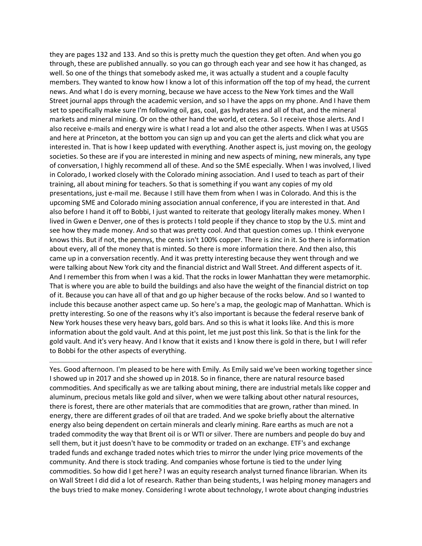they are pages 132 and 133. And so this is pretty much the question they get often. And when you go through, these are published annually. so you can go through each year and see how it has changed, as well. So one of the things that somebody asked me, it was actually a student and a couple faculty members. They wanted to know how I know a lot of this information off the top of my head, the current news. And what I do is every morning, because we have access to the New York times and the Wall Street journal apps through the academic version, and so I have the apps on my phone. And I have them set to specifically make sure I'm following oil, gas, coal, gas hydrates and all of that, and the mineral markets and mineral mining. Or on the other hand the world, et cetera. So I receive those alerts. And I also receive e-mails and energy wire is what I read a lot and also the other aspects. When I was at USGS and here at Princeton, at the bottom you can sign up and you can get the alerts and click what you are interested in. That is how I keep updated with everything. Another aspect is, just moving on, the geology societies. So these are if you are interested in mining and new aspects of mining, new minerals, any type of conversation, I highly recommend all of these. And so the SME especially. When I was involved, I lived in Colorado, I worked closely with the Colorado mining association. And I used to teach as part of their training, all about mining for teachers. So that is something if you want any copies of my old presentations, just e-mail me. Because I still have them from when I was in Colorado. And this is the upcoming SME and Colorado mining association annual conference, if you are interested in that. And also before I hand it off to Bobbi, I just wanted to reiterate that geology literally makes money. When I lived in Gwen e Denver, one of thes is protects I told people if they chance to stop by the U.S. mint and see how they made money. And so that was pretty cool. And that question comes up. I think everyone knows this. But if not, the pennys, the cents isn't 100% copper. There is zinc in it. So there is information about every, all of the money that is minted. So there is more information there. And then also, this came up in a conversation recently. And it was pretty interesting because they went through and we were talking about New York city and the financial district and Wall Street. And different aspects of it. And I remember this from when I was a kid. That the rocks in lower Manhattan they were metamorphic. That is where you are able to build the buildings and also have the weight of the financial district on top of it. Because you can have all of that and go up higher because of the rocks below. And so I wanted to include this because another aspect came up. So here's a map, the geologic map of Manhattan. Which is pretty interesting. So one of the reasons why it's also important is because the federal reserve bank of New York houses these very heavy bars, gold bars. And so this is what it looks like. And this is more information about the gold vault. And at this point, let me just post this link. So that is the link for the gold vault. And it's very heavy. And I know that it exists and I know there is gold in there, but I will refer to Bobbi for the other aspects of everything.

Yes. Good afternoon. I'm pleased to be here with Emily. As Emily said we've been working together since I showed up in 2017 and she showed up in 2018. So in finance, there are natural resource based commodities. And specifically as we are talking about mining, there are industrial metals like copper and aluminum, precious metals like gold and silver, when we were talking about other natural resources, there is forest, there are other materials that are commodities that are grown, rather than mined. In energy, there are different grades of oil that are traded. And we spoke briefly about the alternative energy also being dependent on certain minerals and clearly mining. Rare earths as much are not a traded commodity the way that Brent oil is or WTI or silver. There are numbers and people do buy and sell them, but it just doesn't have to be commodity or traded on an exchange. ETF's and exchange traded funds and exchange traded notes which tries to mirror the under lying price movements of the community. And there is stock trading. And companies whose fortune is tied to the under lying commodities. So how did I get here? I was an equity research analyst turned finance librarian. When its on Wall Street I did did a lot of research. Rather than being students, I was helping money managers and the buys tried to make money. Considering I wrote about technology, I wrote about changing industries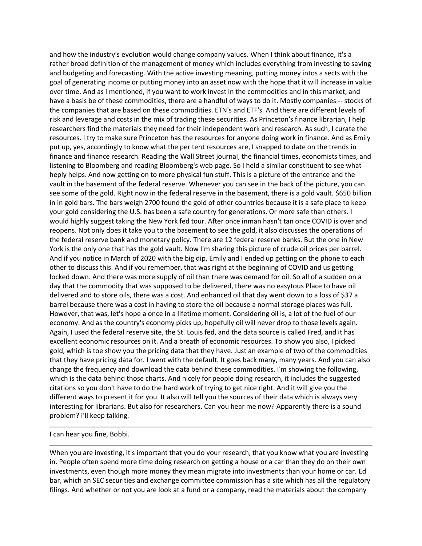and how the industry's evolution would change company values. When I think about finance, it's a rather broad definition of the management of money which includes everything from investing to saving and budgeting and forecasting. With the active investing meaning, putting money intos a sects with the goal of generating income or putting money into an asset now with the hope that it will increase in value over time. And as I mentioned, if you want to work invest in the commodities and in this market, and have a basis be of these commodities, there are a handful of ways to do it. Mostly companies -- stocks of the companies that are based on these commodities. ETN's and ETF's. And there are different levels of risk and leverage and costs in the mix of trading these securities. As Princeton's finance librarian, I help researchers find the materials they need for their independent work and research. As such, I curate the resources. I try to make sure Princeton has the resources for anyone doing work in finance. And as Emily put up, yes, accordingly to know what the per tent resources are, I snapped to date on the trends in finance and finance research. Reading the Wall Street journal, the financial times, economists times, and listening to Bloomberg and reading Bloomberg's web page. So I held a similar constituent to see what heply helps. And now getting on to more physical fun stuff. This is a picture of the entrance and the vault in the basement of the federal reserve. Whenever you can see in the back of the picture, you can see some of the gold. Right now in the federal reserve in the basement, there is a gold vault. \$650 billion in in gold bars. The bars weigh 2700 found the gold of other countries because it is a safe place to keep your gold considering the U.S. has been a safe country for generations. Or more safe than others. I would highly suggest taking the New York fed tour. After once inman hasn't tan once COVID is over and reopens. Not only does it take you to the basement to see the gold, it also discusses the operations of the federal reserve bank and monetary policy. There are 12 federal reserve banks. But the one in New York is the only one that has the gold vault. Now I'm sharing this picture of crude oil prices per barrel. And if you notice in March of 2020 with the big dip, Emily and I ended up getting on the phone to each other to discuss this. And if you remember, that was right at the beginning of COVID and us getting locked down. And there was more supply of oil than there was demand for oil. So all of a sudden on a day that the commodity that was supposed to be delivered, there was no easytous Place to have oil delivered and to store oils, there was a cost. And enhanced oil that day went down to a loss of \$37 a barrel because there was a cost in having to store the oil because a normal storage places was full. However, that was, let's hope a once in a lifetime moment. Considering oil is, a lot of the fuel of our economy. And as the country's economy picks up, hopefully oil will never drop to those levels again. Again, I used the federal reserve site, the St. Louis fed, and the data source is called Fred, and it has excellent economic resources on it. And a breath of economic resources. To show you also, I picked gold, which is toe show you the pricing data that they have. Just an example of two of the commodities that they have pricing data for. I went with the default. It goes back many, many years. And you can also change the frequency and download the data behind these commodities. I'm showing the following, which is the data behind those charts. And nicely for people doing research, it includes the suggested citations so you don't have to do the hard work of trying to get nice right. And it will give you the different ways to present it for you. It also will tell you the sources of their data which is always very interesting for librarians. But also for researchers. Can you hear me now? Apparently there is a sound problem? I'll keep talking.

I can hear you fine, Bobbi.

When you are investing, it's important that you do your research, that you know what you are investing in. People often spend more time doing research on getting a house or a car than they do on their own investments, even though more money they mean migrate into investments than your home or car. Ed bar, which an SEC securities and exchange committee commission has a site which has all the regulatory filings. And whether or not you are look at a fund or a company, read the materials about the company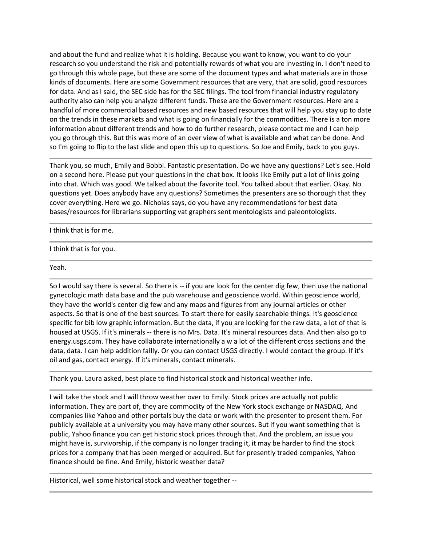and about the fund and realize what it is holding. Because you want to know, you want to do your research so you understand the risk and potentially rewards of what you are investing in. I don't need to go through this whole page, but these are some of the document types and what materials are in those kinds of documents. Here are some Government resources that are very, that are solid, good resources for data. And as I said, the SEC side has for the SEC filings. The tool from financial industry regulatory authority also can help you analyze different funds. These are the Government resources. Here are a handful of more commercial based resources and new based resources that will help you stay up to date on the trends in these markets and what is going on financially for the commodities. There is a ton more information about different trends and how to do further research, please contact me and I can help you go through this. But this was more of an over view of what is available and what can be done. And so I'm going to flip to the last slide and open this up to questions. So Joe and Emily, back to you guys.

Thank you, so much, Emily and Bobbi. Fantastic presentation. Do we have any questions? Let's see. Hold on a second here. Please put your questions in the chat box. It looks like Emily put a lot of links going into chat. Which was good. We talked about the favorite tool. You talked about that earlier. Okay. No questions yet. Does anybody have any questions? Sometimes the presenters are so thorough that they cover everything. Here we go. Nicholas says, do you have any recommendations for best data bases/resources for librarians supporting vat graphers sent mentologists and paleontologists.

I think that is for me.

I think that is for you.

Yeah.

So I would say there is several. So there is -- if you are look for the center dig few, then use the national gynecologic math data base and the pub warehouse and geoscience world. Within geoscience world, they have the world's center dig few and any maps and figures from any journal articles or other aspects. So that is one of the best sources. To start there for easily searchable things. It's geoscience specific for bib low graphic information. But the data, if you are looking for the raw data, a lot of that is housed at USGS. If it's minerals -- there is no Mrs. Data. It's mineral resources data. And then also go to energy.usgs.com. They have collaborate internationally a w a lot of the different cross sections and the data, data. I can help addition fallly. Or you can contact USGS directly. I would contact the group. If it's oil and gas, contact energy. If it's minerals, contact minerals.

Thank you. Laura asked, best place to find historical stock and historical weather info.

I will take the stock and I will throw weather over to Emily. Stock prices are actually not public information. They are part of, they are commodity of the New York stock exchange or NASDAQ. And companies like Yahoo and other portals buy the data or work with the presenter to present them. For publicly available at a university you may have many other sources. But if you want something that is public, Yahoo finance you can get historic stock prices through that. And the problem, an issue you might have is, survivorship, if the company is no longer trading it, it may be harder to find the stock prices for a company that has been merged or acquired. But for presently traded companies, Yahoo finance should be fine. And Emily, historic weather data?

Historical, well some historical stock and weather together --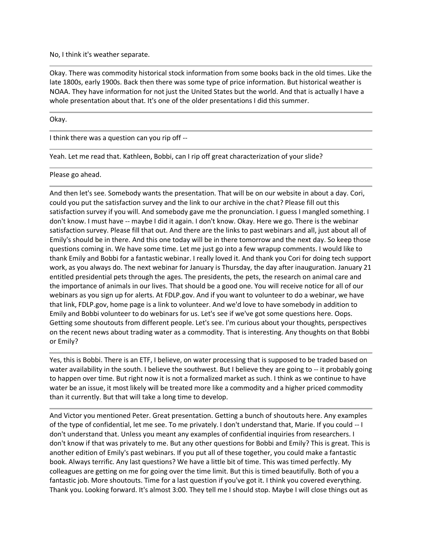No, I think it's weather separate.

Okay. There was commodity historical stock information from some books back in the old times. Like the late 1800s, early 1900s. Back then there was some type of price information. But historical weather is NOAA. They have information for not just the United States but the world. And that is actually I have a whole presentation about that. It's one of the older presentations I did this summer.

Okay.

I think there was a question can you rip off --

Yeah. Let me read that. Kathleen, Bobbi, can I rip off great characterization of your slide?

Please go ahead.

And then let's see. Somebody wants the presentation. That will be on our website in about a day. Cori, could you put the satisfaction survey and the link to our archive in the chat? Please fill out this satisfaction survey if you will. And somebody gave me the pronunciation. I guess I mangled something. I don't know. I must have -- maybe I did it again. I don't know. Okay. Here we go. There is the webinar satisfaction survey. Please fill that out. And there are the links to past webinars and all, just about all of Emily's should be in there. And this one today will be in there tomorrow and the next day. So keep those questions coming in. We have some time. Let me just go into a few wrapup comments. I would like to thank Emily and Bobbi for a fantastic webinar. I really loved it. And thank you Cori for doing tech support work, as you always do. The next webinar for January is Thursday, the day after inauguration. January 21 entitled presidential pets through the ages. The presidents, the pets, the research on animal care and the importance of animals in our lives. That should be a good one. You will receive notice for all of our webinars as you sign up for alerts. At FDLP.gov. And if you want to volunteer to do a webinar, we have that link, FDLP.gov, home page is a link to volunteer. And we'd love to have somebody in addition to Emily and Bobbi volunteer to do webinars for us. Let's see if we've got some questions here. Oops. Getting some shoutouts from different people. Let's see. I'm curious about your thoughts, perspectives on the recent news about trading water as a commodity. That is interesting. Any thoughts on that Bobbi or Emily?

Yes, this is Bobbi. There is an ETF, I believe, on water processing that is supposed to be traded based on water availability in the south. I believe the southwest. But I believe they are going to -- it probably going to happen over time. But right now it is not a formalized market as such. I think as we continue to have water be an issue, it most likely will be treated more like a commodity and a higher priced commodity than it currently. But that will take a long time to develop.

And Victor you mentioned Peter. Great presentation. Getting a bunch of shoutouts here. Any examples of the type of confidential, let me see. To me privately. I don't understand that, Marie. If you could -- I don't understand that. Unless you meant any examples of confidential inquiries from researchers. I don't know if that was privately to me. But any other questions for Bobbi and Emily? This is great. This is another edition of Emily's past webinars. If you put all of these together, you could make a fantastic book. Always terrific. Any last questions? We have a little bit of time. This was timed perfectly. My colleagues are getting on me for going over the time limit. But this is timed beautifully. Both of you a fantastic job. More shoutouts. Time for a last question if you've got it. I think you covered everything. Thank you. Looking forward. It's almost 3:00. They tell me I should stop. Maybe I will close things out as